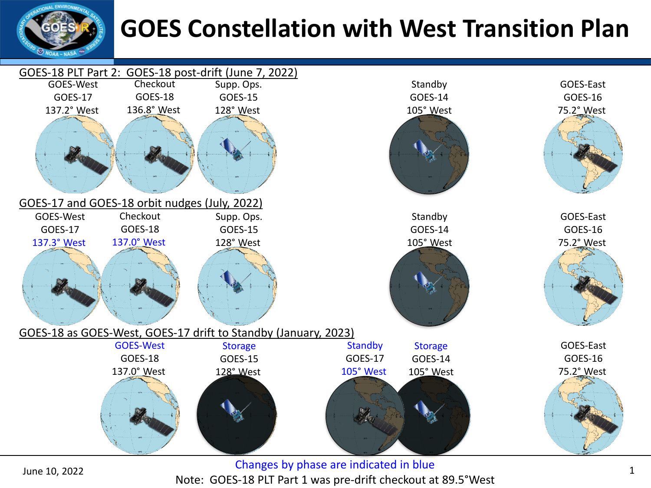

## **GOES Constellation with West Transition Plan**



Changes by phase are indicated in blue Note: GOES-18 PLT Part 1 was pre-drift checkout at 89.5°West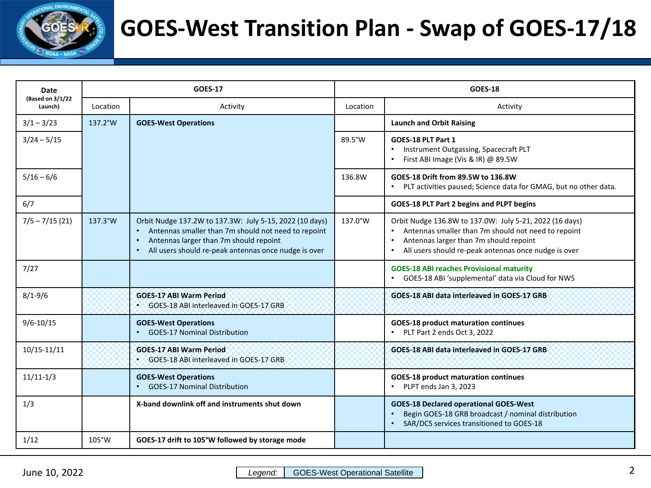

### **GOES-West Transition Plan - Swap of GOES-17/18**

| Date                        |          | <b>GOES-17</b>                                                                                                                                                                                                                |          | <b>GOES-18</b>                                                                                                                                                                                                                |
|-----------------------------|----------|-------------------------------------------------------------------------------------------------------------------------------------------------------------------------------------------------------------------------------|----------|-------------------------------------------------------------------------------------------------------------------------------------------------------------------------------------------------------------------------------|
| (Based on 3/1/22<br>Launch) | Location | Activity                                                                                                                                                                                                                      | Location | Activity                                                                                                                                                                                                                      |
| $3/1 - 3/23$                | 137.2°W  | <b>GOES-West Operations</b>                                                                                                                                                                                                   |          | <b>Launch and Orbit Raising</b>                                                                                                                                                                                               |
| $3/24 - 5/15$               |          |                                                                                                                                                                                                                               | 89.5°W   | GOES-18 PLT Part 1<br>Instrument Outgassing, Spacecraft PLT<br>First ABI Image (Vis & IR) @ 89.5W                                                                                                                             |
| $5/16 - 6/6$                |          |                                                                                                                                                                                                                               | 136.8W   | GOES-18 Drift from 89.5W to 136.8W<br>PLT activities paused; Science data for GMAG, but no other data.                                                                                                                        |
| 6/7                         |          |                                                                                                                                                                                                                               |          | GOES-18 PLT Part 2 begins and PLPT begins                                                                                                                                                                                     |
| $7/5 - 7/15(21)$            | 137.3°W  | Orbit Nudge 137.2W to 137.3W: July 5-15, 2022 (10 days)<br>Antennas smaller than 7m should not need to repoint<br>Antennas larger than 7m should repoint<br>$\bullet$<br>All users should re-peak antennas once nudge is over | 137.0°W  | Orbit Nudge 136.8W to 137.0W: July 5-21, 2022 (16 days)<br>Antennas smaller than 7m should not need to repoint<br>Antennas larger than 7m should repoint<br>$\bullet$<br>All users should re-peak antennas once nudge is over |
| 7/27                        |          |                                                                                                                                                                                                                               |          | <b>GOES-18 ABI reaches Provisional maturity</b><br>GOES-18 ABI 'supplemental' data via Cloud for NWS                                                                                                                          |
| $8/1 - 9/6$                 |          | <b>GOES-17 ABI Warm Period</b><br>GOES-18 ABI interleaved in GOES-17 GRB                                                                                                                                                      |          | GOES-18 ABI data interleaved in GOES-17 GRB                                                                                                                                                                                   |
| $9/6 - 10/15$               |          | <b>GOES-West Operations</b><br>• GOES-17 Nominal Distribution                                                                                                                                                                 |          | <b>GOES-18 product maturation continues</b><br>• PLT Part 2 ends Oct 3, 2022                                                                                                                                                  |
| 10/15-11/11                 |          | <b>GOES-17 ABI Warm Period</b><br>GOES-18 ABI interleaved in GOES-17 GRB                                                                                                                                                      |          | GOES-18 ABI data interleaved in GOES-17 GRB                                                                                                                                                                                   |
| $11/11-1/3$                 |          | <b>GOES-West Operations</b><br><b>GOES-17 Nominal Distribution</b>                                                                                                                                                            |          | <b>GOES-18 product maturation continues</b><br>PLPT ends Jan 3, 2023                                                                                                                                                          |
| 1/3                         |          | X-band downlink off and instruments shut down                                                                                                                                                                                 |          | <b>GOES-18 Declared operational GOES-West</b><br>Begin GOES-18 GRB broadcast / nominal distribution<br>$\bullet$<br>SAR/DCS services transitioned to GOES-18                                                                  |
| 1/12                        | 105°W    | GOES-17 drift to 105°W followed by storage mode                                                                                                                                                                               |          |                                                                                                                                                                                                                               |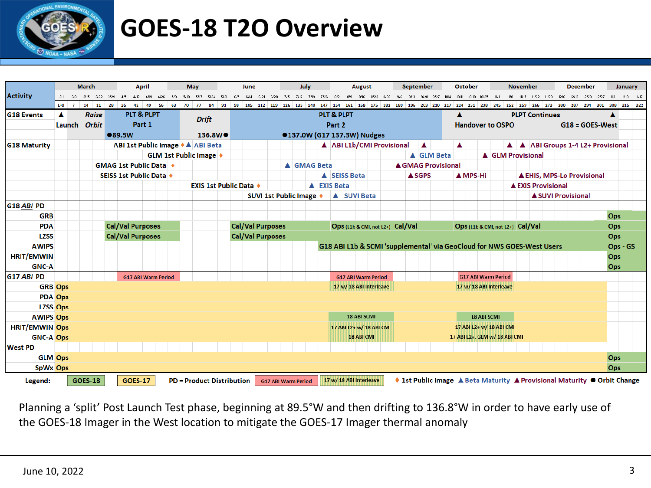

## **GOES-18 T2O Overview**

|                       |           |        | <b>March</b>   |    |                                       | <b>April</b>   |                            |       |      | <b>May</b> |              |                                  | June |      |                            |      | July |                    |        |                                                                        | <b>August</b> |             |  | September |                  |            | October<br><b>November</b> |   |                               | <b>December</b> |         |                                   |  |  | January |                           |  |                                                                                                                                    |          |  |
|-----------------------|-----------|--------|----------------|----|---------------------------------------|----------------|----------------------------|-------|------|------------|--------------|----------------------------------|------|------|----------------------------|------|------|--------------------|--------|------------------------------------------------------------------------|---------------|-------------|--|-----------|------------------|------------|----------------------------|---|-------------------------------|-----------------|---------|-----------------------------------|--|--|---------|---------------------------|--|------------------------------------------------------------------------------------------------------------------------------------|----------|--|
| <b>Activity</b>       |           | 318    | 3/15<br>3/22   |    |                                       |                |                            |       | 5/10 |            |              |                                  |      | 6/21 |                            | 7/12 | 7/19 |                    |        |                                                                        |               |             |  |           |                  |            |                            |   |                               |                 |         |                                   |  |  |         | 12/13<br>12/20            |  |                                                                                                                                    |          |  |
|                       | $L + 0$ 7 |        | 14<br>21       | 28 | 35                                    | 42             | 49                         | 56 63 | 70   | 77         | 84           | 91                               |      |      | 98 105 112 119 126 133 140 |      |      |                    |        | 147 154 161 168 175 182 189 196 203 210 217 224 231 238 245            |               |             |  |           |                  |            |                            |   |                               |                 | 252 259 |                                   |  |  |         |                           |  | 266 273 280 287 294 301 308 315 322                                                                                                |          |  |
| <b>G18 Events</b>     | A         |        | <b>Raise</b>   |    |                                       |                | <b>PLT &amp; PLPT</b>      |       |      |            | <b>Drift</b> |                                  |      |      |                            |      |      |                    |        | <b>PLT &amp; PLPT</b>                                                  |               |             |  |           |                  |            |                            |   |                               |                 |         | <b>PLPT Continues</b>             |  |  |         |                           |  |                                                                                                                                    |          |  |
|                       |           | Launch | <b>Orbit</b>   |    |                                       | Part 1         |                            |       |      |            |              |                                  |      |      |                            |      |      |                    | Part 2 |                                                                        |               |             |  |           |                  |            |                            |   | <b>Handover to OSPO</b>       |                 |         |                                   |  |  |         |                           |  | $G18 = GOES-West$                                                                                                                  |          |  |
|                       |           |        |                |    | ●89.5W                                |                |                            |       |      |            |              | 136.8W <sup>O</sup>              |      |      |                            |      |      |                    |        | ●137.0W (G17 137.3W) Nudges                                            |               |             |  |           |                  |            |                            |   |                               |                 |         |                                   |  |  |         |                           |  |                                                                                                                                    |          |  |
| <b>G18 Maturity</b>   |           |        |                |    | ABI 1st Public Image ♦ ▲ ABI Beta     |                |                            |       |      |            |              |                                  |      |      |                            |      |      |                    |        | A ABI L1b/CMI Provisional                                              |               |             |  |           | $\blacktriangle$ |            |                            | ▲ |                               |                 |         |                                   |  |  |         |                           |  | A A   ABI Groups 1-4 L2+ Provisional                                                                                               |          |  |
|                       |           |        |                |    |                                       |                | GLM 1st Public Image +     |       |      |            |              |                                  |      |      |                            |      |      |                    |        |                                                                        |               |             |  |           |                  | A GLM Beta |                            |   |                               |                 |         | <b>A GLM Provisional</b>          |  |  |         |                           |  |                                                                                                                                    |          |  |
|                       |           |        |                |    | <b>GMAG 1st Public Data</b> $\bullet$ |                |                            |       |      |            |              |                                  |      |      |                            |      |      | A GMAG Beta        |        |                                                                        |               |             |  |           |                  |            | ▲ GMAG Provisional         |   |                               |                 |         |                                   |  |  |         |                           |  |                                                                                                                                    |          |  |
|                       |           |        |                |    | SEISS 1st Public Data                 |                |                            |       |      |            |              |                                  |      |      |                            |      |      |                    |        | A SEISS Beta                                                           |               |             |  |           | <b>ASGPS</b>     |            |                            |   | ▲ MPS-Hi                      |                 |         | <b>A EHIS, MPS-Lo Provisional</b> |  |  |         |                           |  |                                                                                                                                    |          |  |
|                       |           |        |                |    |                                       |                |                            |       |      |            |              | <b>EXIS 1st Public Data</b> ♦    |      |      |                            |      |      | <b>A</b> EXIS Beta |        |                                                                        |               |             |  |           |                  |            |                            |   |                               |                 |         | <b>A EXIS Provisional</b>         |  |  |         |                           |  |                                                                                                                                    |          |  |
|                       |           |        |                |    |                                       |                |                            |       |      |            |              |                                  |      |      | SUVI 1st Public Image +    |      |      |                    |        | A SUVI Beta                                                            |               |             |  |           |                  |            |                            |   |                               |                 |         |                                   |  |  |         | <b>A SUVI Provisional</b> |  |                                                                                                                                    |          |  |
| G18 ABI PD            |           |        |                |    |                                       |                |                            |       |      |            |              |                                  |      |      |                            |      |      |                    |        |                                                                        |               |             |  |           |                  |            |                            |   |                               |                 |         |                                   |  |  |         |                           |  |                                                                                                                                    |          |  |
| <b>GRB</b>            |           |        |                |    |                                       |                |                            |       |      |            |              |                                  |      |      |                            |      |      |                    |        |                                                                        |               |             |  |           |                  |            |                            |   |                               |                 |         |                                   |  |  |         |                           |  | Ops                                                                                                                                |          |  |
| <b>PDA</b>            |           |        |                |    | <b>Cal/Val Purposes</b>               |                |                            |       |      |            |              |                                  |      |      | <b>Cal/Val Purposes</b>    |      |      |                    |        | Ops (L1b & CMI, not L2+) Cal/Val                                       |               |             |  |           |                  |            |                            |   |                               |                 |         | Ops (L1b & CMI, not L2+) Cal/Val  |  |  |         |                           |  | Ops                                                                                                                                |          |  |
| <b>LZSS</b>           |           |        |                |    | <b>Cal/Val Purposes</b>               |                |                            |       |      |            |              |                                  |      |      | <b>Cal/Val Purposes</b>    |      |      |                    |        |                                                                        |               |             |  |           |                  |            |                            |   |                               |                 |         |                                   |  |  |         |                           |  | Ops                                                                                                                                |          |  |
| <b>AWIPS</b>          |           |        |                |    |                                       |                |                            |       |      |            |              |                                  |      |      |                            |      |      |                    |        | G18 ABI L1b & SCMI 'supplemental' via GeoCloud for NWS GOES-West Users |               |             |  |           |                  |            |                            |   |                               |                 |         |                                   |  |  |         |                           |  |                                                                                                                                    | Ops - GS |  |
| <b>HRIT/EMWIN</b>     |           |        |                |    |                                       |                |                            |       |      |            |              |                                  |      |      |                            |      |      |                    |        |                                                                        |               |             |  |           |                  |            |                            |   |                               |                 |         |                                   |  |  |         |                           |  | Ops                                                                                                                                |          |  |
| <b>GNC-A</b>          |           |        |                |    |                                       |                |                            |       |      |            |              |                                  |      |      |                            |      |      |                    |        |                                                                        |               |             |  |           |                  |            |                            |   |                               |                 |         |                                   |  |  |         |                           |  | Ops                                                                                                                                |          |  |
| G17 ABI PD            |           |        |                |    |                                       |                | <b>G17 ABI Warm Period</b> |       |      |            |              |                                  |      |      |                            |      |      |                    |        | <b>G17 ABI Warm Period</b>                                             |               |             |  |           |                  |            |                            |   | <b>G17 ABI Warm Period</b>    |                 |         |                                   |  |  |         |                           |  |                                                                                                                                    |          |  |
| <b>GRB</b> Ops        |           |        |                |    |                                       |                |                            |       |      |            |              |                                  |      |      |                            |      |      |                    |        | 17 w/ 18 ABI Interleave                                                |               |             |  |           |                  |            |                            |   | 17 w/ 18 ABI Interleave       |                 |         |                                   |  |  |         |                           |  |                                                                                                                                    |          |  |
| <b>PDA</b> Ops        |           |        |                |    |                                       |                |                            |       |      |            |              |                                  |      |      |                            |      |      |                    |        |                                                                        |               |             |  |           |                  |            |                            |   |                               |                 |         |                                   |  |  |         |                           |  |                                                                                                                                    |          |  |
| <b>LZSS Ops</b>       |           |        |                |    |                                       |                |                            |       |      |            |              |                                  |      |      |                            |      |      |                    |        |                                                                        |               |             |  |           |                  |            |                            |   |                               |                 |         |                                   |  |  |         |                           |  |                                                                                                                                    |          |  |
| <b>AWIPS Ops</b>      |           |        |                |    |                                       |                |                            |       |      |            |              |                                  |      |      |                            |      |      |                    |        |                                                                        |               | 18 ABI SCMI |  |           |                  |            |                            |   | <b>18 ABI SCMI</b>            |                 |         |                                   |  |  |         |                           |  |                                                                                                                                    |          |  |
| <b>HRIT/EMWIN</b> Ops |           |        |                |    |                                       |                |                            |       |      |            |              |                                  |      |      |                            |      |      |                    |        | 17 ABI L2+ w/ 18 ABI CMI                                               |               |             |  |           |                  |            |                            |   | 17 ABI L2+ w/ 18 ABI CMI      |                 |         |                                   |  |  |         |                           |  |                                                                                                                                    |          |  |
| <b>GNC-A Ops</b>      |           |        |                |    |                                       |                |                            |       |      |            |              |                                  |      |      |                            |      |      |                    |        |                                                                        | 18 ABI CMI    |             |  |           |                  |            |                            |   | 17 ABI L2+, GLM w/ 18 ABI CMI |                 |         |                                   |  |  |         |                           |  |                                                                                                                                    |          |  |
| <b>West PD</b>        |           |        |                |    |                                       |                |                            |       |      |            |              |                                  |      |      |                            |      |      |                    |        |                                                                        |               |             |  |           |                  |            |                            |   |                               |                 |         |                                   |  |  |         |                           |  |                                                                                                                                    |          |  |
| GLM Ops               |           |        |                |    |                                       |                |                            |       |      |            |              |                                  |      |      |                            |      |      |                    |        |                                                                        |               |             |  |           |                  |            |                            |   |                               |                 |         |                                   |  |  |         |                           |  | Ops                                                                                                                                |          |  |
| SpWx Ops              |           |        |                |    |                                       |                |                            |       |      |            |              |                                  |      |      |                            |      |      |                    |        |                                                                        |               |             |  |           |                  |            |                            |   |                               |                 |         |                                   |  |  |         |                           |  | Ops                                                                                                                                |          |  |
| Legend:               |           |        | <b>GOES-18</b> |    |                                       | <b>GOES-17</b> |                            |       |      |            |              | <b>PD = Product Distribution</b> |      |      | <b>G17 ABI Warm Period</b> |      |      |                    |        | 17 w/ 18 ABI Interleave                                                |               |             |  |           |                  |            |                            |   |                               |                 |         |                                   |  |  |         |                           |  | $\blacklozenge$ 1st Public Image $\blacktriangle$ Beta Maturity $\blacktriangle$ Provisional Maturity $\blacklozenge$ Orbit Change |          |  |

Planning a 'split' Post Launch Test phase, beginning at 89.5°W and then drifting to 136.8°W in order to have early use of the GOES-18 Imager in the West location to mitigate the GOES-17 Imager thermal anomaly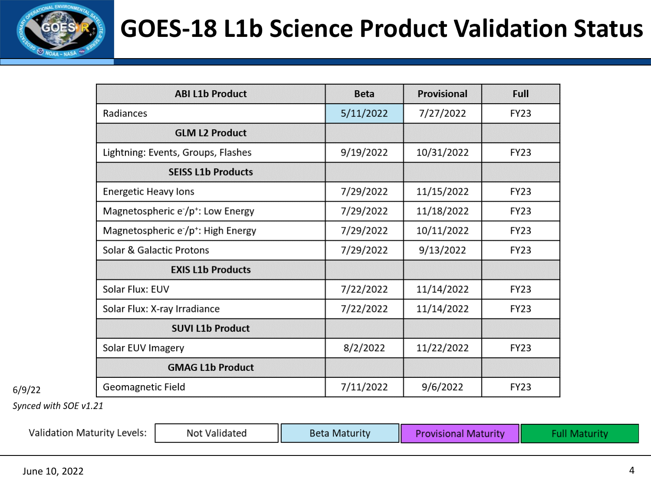

## **GOES-18 L1b Science Product Validation Status**

| <b>ABI L1b Product</b>                         | <b>Beta</b> | Provisional | Full        |
|------------------------------------------------|-------------|-------------|-------------|
| Radiances                                      | 5/11/2022   | 7/27/2022   | <b>FY23</b> |
| <b>GLM L2 Product</b>                          |             |             |             |
| Lightning: Events, Groups, Flashes             | 9/19/2022   | 10/31/2022  | <b>FY23</b> |
| <b>SEISS L1b Products</b>                      |             |             |             |
| <b>Energetic Heavy lons</b>                    | 7/29/2022   | 11/15/2022  | <b>FY23</b> |
| Magnetospheric e /p <sup>+</sup> : Low Energy  | 7/29/2022   | 11/18/2022  | <b>FY23</b> |
| Magnetospheric e /p <sup>+</sup> : High Energy | 7/29/2022   | 10/11/2022  | <b>FY23</b> |
| Solar & Galactic Protons                       | 7/29/2022   | 9/13/2022   | <b>FY23</b> |
| <b>EXIS L1b Products</b>                       |             |             |             |
| Solar Flux: EUV                                | 7/22/2022   | 11/14/2022  | <b>FY23</b> |
| Solar Flux: X-ray Irradiance                   | 7/22/2022   | 11/14/2022  | <b>FY23</b> |
| <b>SUVI L1b Product</b>                        |             |             |             |
| Solar EUV Imagery                              | 8/2/2022    | 11/22/2022  | <b>FY23</b> |
| <b>GMAG L1b Product</b>                        |             |             |             |
| Geomagnetic Field                              | 7/11/2022   | 9/6/2022    | <b>FY23</b> |

Synced with SOE v1.21

 $6/9/22$ 

| <b>Validation Maturity Levels:</b> | Not Validated | <b>Beta Maturity</b> | <b>Provisional Maturity</b> |  |
|------------------------------------|---------------|----------------------|-----------------------------|--|
|------------------------------------|---------------|----------------------|-----------------------------|--|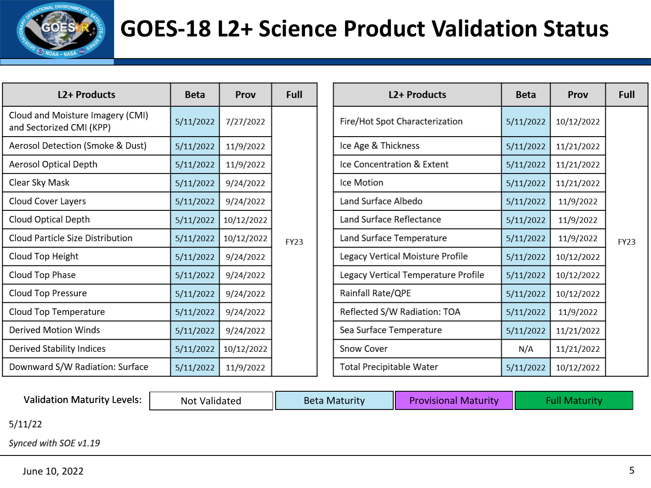

## **GOES-18 L2+ Science Product Validation Status**

| <b>L2+ Products</b>                                          | <b>Beta</b> | Prov       | Full        |
|--------------------------------------------------------------|-------------|------------|-------------|
| Cloud and Moisture Imagery (CMI)<br>and Sectorized CMI (KPP) | 5/11/2022   | 7/27/2022  |             |
| Aerosol Detection (Smoke & Dust)                             | 5/11/2022   | 11/9/2022  |             |
| <b>Aerosol Optical Depth</b>                                 | 5/11/2022   | 11/9/2022  |             |
| Clear Sky Mask                                               | 5/11/2022   | 9/24/2022  |             |
| <b>Cloud Cover Layers</b>                                    | 5/11/2022   | 9/24/2022  |             |
| Cloud Optical Depth                                          | 5/11/2022   | 10/12/2022 |             |
| Cloud Particle Size Distribution                             | 5/11/2022   | 10/12/2022 | <b>FY23</b> |
| Cloud Top Height                                             | 5/11/2022   | 9/24/2022  |             |
| Cloud Top Phase                                              | 5/11/2022   | 9/24/2022  |             |
| Cloud Top Pressure                                           | 5/11/2022   | 9/24/2022  |             |
| Cloud Top Temperature                                        | 5/11/2022   | 9/24/2022  |             |
| <b>Derived Motion Winds</b>                                  | 5/11/2022   | 9/24/2022  |             |
| Derived Stability Indices                                    | 5/11/2022   | 10/12/2022 |             |
| Downward S/W Radiation: Surface                              | 5/11/2022   | 11/9/2022  |             |

| <b>L2+ Products</b>                 | <b>Beta</b> | Prov       | Full        |
|-------------------------------------|-------------|------------|-------------|
| Fire/Hot Spot Characterization      | 5/11/2022   | 10/12/2022 |             |
| Ice Age & Thickness                 | 5/11/2022   | 11/21/2022 |             |
| Ice Concentration & Extent          | 5/11/2022   | 11/21/2022 |             |
| Ice Motion                          | 5/11/2022   | 11/21/2022 |             |
| Land Surface Albedo                 | 5/11/2022   | 11/9/2022  |             |
| Land Surface Reflectance            | 5/11/2022   | 11/9/2022  |             |
| Land Surface Temperature            | 5/11/2022   | 11/9/2022  | <b>FY23</b> |
| Legacy Vertical Moisture Profile    | 5/11/2022   | 10/12/2022 |             |
| Legacy Vertical Temperature Profile | 5/11/2022   | 10/12/2022 |             |
| Rainfall Rate/QPE                   | 5/11/2022   | 10/12/2022 |             |
| Reflected S/W Radiation: TOA        | 5/11/2022   | 11/9/2022  |             |
| Sea Surface Temperature             | 5/11/2022   | 11/21/2022 |             |
| <b>Snow Cover</b>                   | N/A         | 11/21/2022 |             |
| <b>Total Precipitable Water</b>     | 5/11/2022   | 10/12/2022 |             |

Validation Maturity Levels:  $\parallel$  Not Validated  $\parallel$  Beta Maturity  $\parallel$  Provisional Maturity  $\parallel$  Full Maturity

 $5/11/22$ 

Synced with SOE v1.19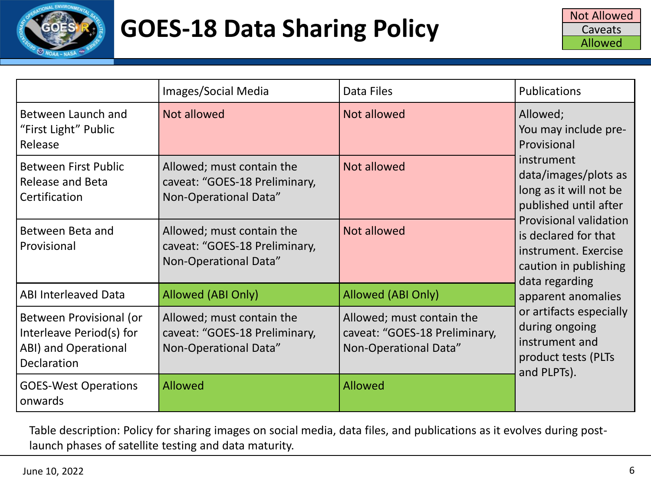

|                                                                                            | Images/Social Media                                                                 | Data Files                                                                          | Publications                                                                                                             |
|--------------------------------------------------------------------------------------------|-------------------------------------------------------------------------------------|-------------------------------------------------------------------------------------|--------------------------------------------------------------------------------------------------------------------------|
| Between Launch and<br>"First Light" Public<br>Release                                      | Not allowed                                                                         | Not allowed                                                                         | Allowed;<br>You may include pre-<br>Provisional                                                                          |
| <b>Between First Public</b><br>Release and Beta<br>Certification                           | Allowed; must contain the<br>caveat: "GOES-18 Preliminary,<br>Non-Operational Data" | Not allowed                                                                         | instrument<br>data/images/plots as<br>long as it will not be<br>published until after                                    |
| Between Beta and<br>Provisional                                                            | Allowed; must contain the<br>caveat: "GOES-18 Preliminary,<br>Non-Operational Data" | Not allowed                                                                         | <b>Provisional validation</b><br>is declared for that<br>instrument. Exercise<br>caution in publishing<br>data regarding |
| <b>ABI Interleaved Data</b>                                                                | Allowed (ABI Only)                                                                  | Allowed (ABI Only)                                                                  | apparent anomalies                                                                                                       |
| Between Provisional (or<br>Interleave Period(s) for<br>ABI) and Operational<br>Declaration | Allowed; must contain the<br>caveat: "GOES-18 Preliminary,<br>Non-Operational Data" | Allowed; must contain the<br>caveat: "GOES-18 Preliminary,<br>Non-Operational Data" | or artifacts especially<br>during ongoing<br>instrument and<br>product tests (PLTs<br>and PLPTs).                        |
| <b>GOES-West Operations</b><br>onwards                                                     | Allowed                                                                             | <b>Allowed</b>                                                                      |                                                                                                                          |

Table description: Policy for sharing images on social media, data files, and publications as it evolves during postlaunch phases of satellite testing and data maturity.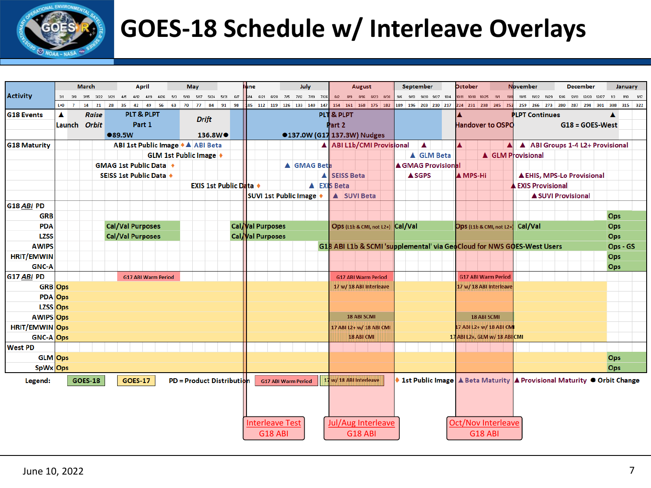

# **GOES-18 Schedule w/ Interleave Overlays**

|                       |                        | <b>March</b>   | April                                 |          | <b>May</b>                |                               |     | une |                                 | July                        |        |                     | August                     |                                  | <b>September</b> |                         | <b>Detober</b>                   |                |                            | <b>November</b>                                                        |       |                           | <b>December</b>                   |     | January                                               |
|-----------------------|------------------------|----------------|---------------------------------------|----------|---------------------------|-------------------------------|-----|-----|---------------------------------|-----------------------------|--------|---------------------|----------------------------|----------------------------------|------------------|-------------------------|----------------------------------|----------------|----------------------------|------------------------------------------------------------------------|-------|---------------------------|-----------------------------------|-----|-------------------------------------------------------|
| <b>Activity</b>       | 3/1 3/8 3/15 3/22 3/29 |                | 4/5<br>4/12 4/19 4/26 5/3             |          | 5/10 5/17 5/24            | 5/31                          | 6/7 |     | 14 6/21 6/28 7/5 7/12 7/19 7/26 |                             |        |                     |                            | 8#2 8#9 8#16 8#23 8#30           |                  | 9/6 9/13 9/20 9/27 10/4 | 10/11 10/18 10/25                |                | 11/1                       | 11/15 11/22                                                            | 11/29 | 1246                      | 12/13 12/20 12/27                 |     | 1/3<br>1/10<br>1/17                                   |
|                       | $L + 0$ 7              | 14<br>21       | 28<br>35<br>42<br>49                  | 56 63 70 | 77                        | 84<br>91                      | 98  |     | 105 112 119 126 133 140         | 147                         |        | 154 161             |                            | 168 175 182                      |                  | 189 196 203 210 217     |                                  |                | 224 231 238 245 252        | 259<br>266                                                             |       | 273 280                   | 287<br>294                        | 301 | 308<br>315 322                                        |
| <b>G18 Events</b>     | A                      | <b>Raise</b>   | PLT & PLPT                            |          | <b>Drift</b>              |                               |     |     |                                 |                             |        | PLT & PLPT          |                            |                                  |                  |                         |                                  |                |                            | <b>PLPT Continues</b>                                                  |       |                           |                                   |     | A                                                     |
|                       | Launch Orbit           |                | Part 1                                |          |                           |                               |     |     |                                 |                             | Part 2 |                     |                            |                                  |                  |                         |                                  |                | Handover to OSPO           |                                                                        |       |                           | $G18 = GOES-West$                 |     |                                                       |
|                       |                        |                | ●89.5W                                |          |                           | 136.8W <sup>●</sup>           |     |     |                                 | ●137.0W (G17 137.3W) Nudges |        |                     |                            |                                  |                  |                         |                                  |                |                            |                                                                        |       |                           |                                   |     |                                                       |
| <b>G18 Maturity</b>   |                        |                | ABI 1st Public Image ♦ ▲ ABI Beta     |          |                           |                               |     |     |                                 |                             |        |                     |                            | A ABI L1b/CMI Provisional        |                  | $\blacktriangle$        |                                  |                |                            |                                                                        |       |                           | A ABI Groups 1-4 L2+ Provisional  |     |                                                       |
|                       |                        |                |                                       |          | GLM 1st Public Image +    |                               |     |     |                                 |                             |        |                     |                            |                                  |                  | A GLM Beta              |                                  |                |                            | <b>A GLM Provisional</b>                                               |       |                           |                                   |     |                                                       |
|                       |                        |                | <b>GMAG 1st Public Data</b> $\bullet$ |          |                           |                               |     |     |                                 | A GMAG Beta                 |        |                     |                            |                                  |                  | ▲ GMAG Provisional      |                                  |                |                            |                                                                        |       |                           |                                   |     |                                                       |
|                       |                        |                | SEISS 1st Public Data                 |          |                           |                               |     |     |                                 |                             |        | <b>A SEISS Beta</b> |                            |                                  | <b>ASGPS</b>     |                         | <b>A</b> MPS-Hi                  |                |                            |                                                                        |       |                           | <b>A EHIS, MPS-Lo Provisional</b> |     |                                                       |
|                       |                        |                |                                       |          |                           | <b>EXIS 1st Public Data</b> ♦ |     |     |                                 | <b>A</b> EXIS Beta          |        |                     |                            |                                  |                  |                         |                                  |                |                            | <b>EXIS Provisional</b>                                                |       |                           |                                   |     |                                                       |
|                       |                        |                |                                       |          |                           |                               |     |     | SUVI 1st Public Image +         |                             |        |                     | A SUVI Beta                |                                  |                  |                         |                                  |                |                            |                                                                        |       | <b>A SUVI Provisional</b> |                                   |     |                                                       |
| G18 ABI PD            |                        |                |                                       |          |                           |                               |     |     |                                 |                             |        |                     |                            |                                  |                  |                         |                                  |                |                            |                                                                        |       |                           |                                   |     |                                                       |
| <b>GRB</b>            |                        |                |                                       |          |                           |                               |     |     |                                 |                             |        |                     |                            |                                  |                  |                         |                                  |                |                            |                                                                        |       |                           |                                   |     | Ops                                                   |
| <b>PDA</b>            |                        |                | <b>Cal/Val Purposes</b>               |          |                           |                               |     |     | Cal / Val Purposes              |                             |        |                     |                            | Ops (L1b & CMI, not L2+) Cal/Val |                  |                         | Ops (L1b & CMI, not L2+) Cal/Val |                |                            |                                                                        |       |                           |                                   |     | Ops                                                   |
| <b>LZSS</b>           |                        |                | <b>Cal/Val Purposes</b>               |          |                           |                               |     |     | Cal Val Purposes                |                             |        |                     |                            |                                  |                  |                         |                                  |                |                            |                                                                        |       |                           |                                   |     | Ops                                                   |
| <b>AWIPS</b>          |                        |                |                                       |          |                           |                               |     |     |                                 |                             |        |                     |                            |                                  |                  |                         |                                  |                |                            | G18 ABI L1b & SCMI 'supplemental' via GeoCloud for NWS GOES-West Users |       |                           |                                   |     | Ops - GS                                              |
| <b>HRIT/EMWIN</b>     |                        |                |                                       |          |                           |                               |     |     |                                 |                             |        |                     |                            |                                  |                  |                         |                                  |                |                            |                                                                        |       |                           |                                   |     | Ops                                                   |
| <b>GNC-A</b>          |                        |                |                                       |          |                           |                               |     |     |                                 |                             |        |                     |                            |                                  |                  |                         |                                  |                |                            |                                                                        |       |                           |                                   |     | Ops                                                   |
| G17 ABI PD            |                        |                | <b>G17 ABI Warm Period</b>            |          |                           |                               |     |     |                                 |                             |        |                     | <b>G17 ABI Warm Period</b> |                                  |                  |                         |                                  |                | <b>G17 ABI Warm Period</b> |                                                                        |       |                           |                                   |     |                                                       |
| <b>GRB</b> Ops        |                        |                |                                       |          |                           |                               |     |     |                                 |                             |        |                     | 17 w/ 18 ABI Interleave    |                                  |                  |                         | 17 w/ 18 ABI Interleave          |                |                            |                                                                        |       |                           |                                   |     |                                                       |
| <b>PDA</b> Ops        |                        |                |                                       |          |                           |                               |     |     |                                 |                             |        |                     |                            |                                  |                  |                         |                                  |                |                            |                                                                        |       |                           |                                   |     |                                                       |
| LZSS Ops              |                        |                |                                       |          |                           |                               |     |     |                                 |                             |        |                     |                            |                                  |                  |                         |                                  |                |                            |                                                                        |       |                           |                                   |     |                                                       |
| <b>AWIPS Ops</b>      |                        |                |                                       |          |                           |                               |     |     |                                 |                             |        |                     | 18 ABI SCMI                |                                  |                  |                         |                                  | 18 ABI SCMI    |                            |                                                                        |       |                           |                                   |     |                                                       |
| <b>HRIT/EMWIN</b> Ops |                        |                |                                       |          |                           |                               |     |     |                                 |                             |        |                     |                            | 17 ABI L2+ w/ 18 ABI CMI         |                  |                         |                                  |                | 17 ABI L2+ w/ 18 ABI CM    |                                                                        |       |                           |                                   |     |                                                       |
| <b>GNC-A Ops</b>      |                        |                |                                       |          |                           |                               |     |     |                                 |                             |        |                     | <b>18 ABI CMI</b>          |                                  |                  |                         | 17 ABI L2+, GLM w/ 18 ABI CMI    |                |                            |                                                                        |       |                           |                                   |     |                                                       |
| <b>West PD</b>        |                        |                |                                       |          |                           |                               |     |     |                                 |                             |        |                     |                            |                                  |                  |                         |                                  |                |                            |                                                                        |       |                           |                                   |     |                                                       |
| GLM Ops               |                        |                |                                       |          |                           |                               |     |     |                                 |                             |        |                     |                            |                                  |                  |                         |                                  |                |                            |                                                                        |       |                           |                                   |     | Ops                                                   |
| SpWx Ops              |                        |                |                                       |          |                           |                               |     |     |                                 |                             |        |                     |                            |                                  |                  |                         |                                  |                |                            |                                                                        |       |                           |                                   |     | Ops                                                   |
| Legend:               |                        | <b>GOES-18</b> | <b>GOES-17</b>                        |          | PD = Product Distribution |                               |     |     | <b>G17 ABI Warm Period</b>      |                             |        |                     | 17 w/ 18 ABI Interleave    |                                  |                  | <b>1st Public Image</b> |                                  |                |                            |                                                                        |       |                           |                                   |     | A Beta Maturity A Provisional Maturity ● Orbit Change |
|                       |                        |                |                                       |          |                           |                               |     |     |                                 |                             |        |                     |                            |                                  |                  |                         |                                  |                |                            |                                                                        |       |                           |                                   |     |                                                       |
|                       |                        |                |                                       |          |                           |                               |     |     |                                 |                             |        |                     |                            |                                  |                  |                         |                                  |                |                            |                                                                        |       |                           |                                   |     |                                                       |
|                       |                        |                |                                       |          |                           |                               |     |     |                                 |                             |        |                     |                            |                                  |                  |                         |                                  |                |                            |                                                                        |       |                           |                                   |     |                                                       |
|                       |                        |                |                                       |          |                           |                               |     |     |                                 |                             |        |                     |                            |                                  |                  |                         |                                  |                |                            |                                                                        |       |                           |                                   |     |                                                       |
|                       |                        |                |                                       |          |                           |                               |     |     | <b>Interleave Test</b>          |                             |        |                     |                            | Jul/Aug Interleave               |                  |                         | <b>Oct/Nov Interleave</b>        |                |                            |                                                                        |       |                           |                                   |     |                                                       |
|                       |                        |                |                                       |          |                           |                               |     |     | <b>G18 ABI</b>                  |                             |        |                     | <b>G18 ABI</b>             |                                  |                  |                         |                                  | <b>G18 ABI</b> |                            |                                                                        |       |                           |                                   |     |                                                       |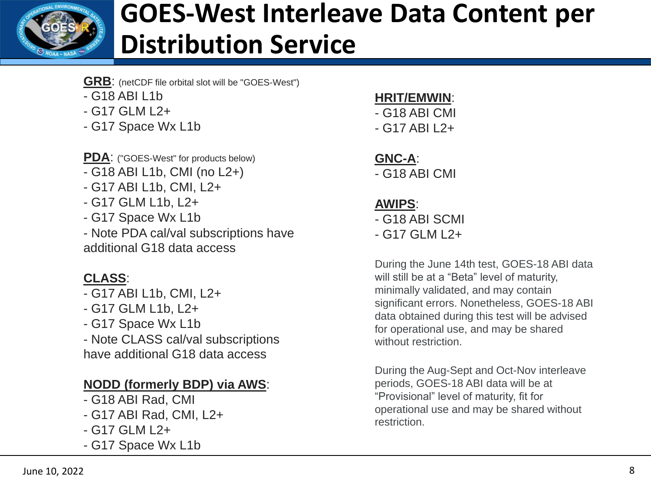

# **GOES-West Interleave Data Content per Distribution Service**

- **GRB**: (netCDF file orbital slot will be "GOES-West")
- G18 ABI L1b
- G17 GLM L2+
- G17 Space Wx L1b

**PDA**: ("GOES-West" for products below)

- G18 ABI L1b, CMI (no L2+)
- G17 ABI L1b, CMI, L2+
- G17 GLM L1b, L2+
- G17 Space Wx L1b

- Note PDA cal/val subscriptions have additional G18 data access

### **CLASS**:

- G17 ABI L1b, CMI, L2+
- G17 GLM L1b, L2+
- G17 Space Wx L1b

- Note CLASS cal/val subscriptions have additional G18 data access

### **NODD (formerly BDP) via AWS**:

- G18 ABI Rad, CMI
- G17 ABI Rad, CMI, L2+
- G17 GLM L2+
- G17 Space Wx L1b

#### **HRIT/EMWIN**:

- G18 ABI CMI
- G17 ABI L2+

#### **GNC-A**:

- G18 ABI CMI

#### **AWIPS**:

- G18 ABI SCMI

- G17 GLM L2+

During the June 14th test, GOES-18 ABI data will still be at a "Beta" level of maturity, minimally validated, and may contain significant errors. Nonetheless, GOES-18 ABI data obtained during this test will be advised for operational use, and may be shared without restriction.

During the Aug-Sept and Oct-Nov interleave periods, GOES-18 ABI data will be at "Provisional" level of maturity, fit for operational use and may be shared without restriction.